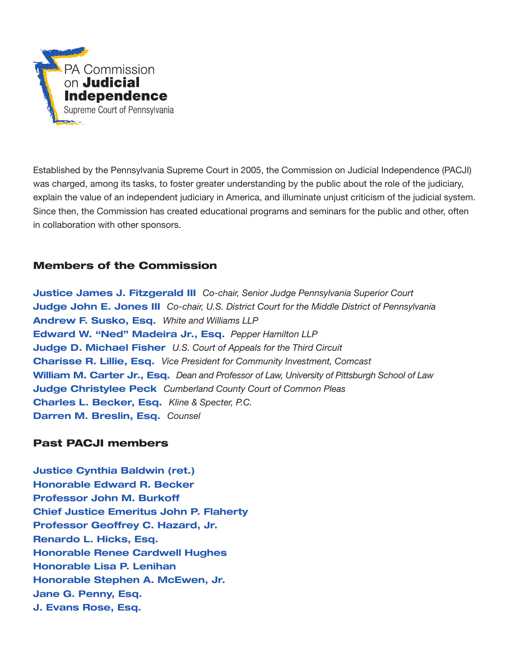

Established by the Pennsylvania Supreme Court in 2005, the Commission on Judicial Independence (PACJI) was charged, among its tasks, to foster greater understanding by the public about the role of the judiciary, explain the value of an independent judiciary in America, and illuminate unjust criticism of the judicial system. Since then, the Commission has created educational programs and seminars for the public and other, often in collaboration with other sponsors.

# Members of the Commission

Justice James J. Fitzgerald III *Co-chair, Senior Judge Pennsylvania Superior Court* Judge John E. Jones III *Co-chair, U.S. District Court for the Middle District of Pennsylvania* Andrew F. Susko, Esq. *White and Williams LLP* Edward W. "Ned" Madeira Jr., Esq. *Pepper Hamilton LLP*  Judge D. Michael Fisher *U.S. Court of Appeals for the Third Circuit* Charisse R. Lillie, Esq. *Vice President for Community Investment, Comcast*  William M. Carter Jr., Esq. *Dean and Professor of Law, University of Pittsburgh School of Law*  Judge Christylee Peck *Cumberland County Court of Common Pleas*  Charles L. Becker, Esq. *Kline & Specter, P.C.* Darren M. Breslin, Esq. *Counsel*

# Past PACJI members

Justice Cynthia Baldwin (ret.) Honorable Edward R. Becker Professor John M. Burkoff Chief Justice Emeritus John P. Flaherty Professor Geoffrey C. Hazard, Jr. Renardo L. Hicks, Esq. Honorable Renee Cardwell Hughes Honorable Lisa P. Lenihan Honorable Stephen A. McEwen, Jr. Jane G. Penny, Esq. J. Evans Rose, Esq.